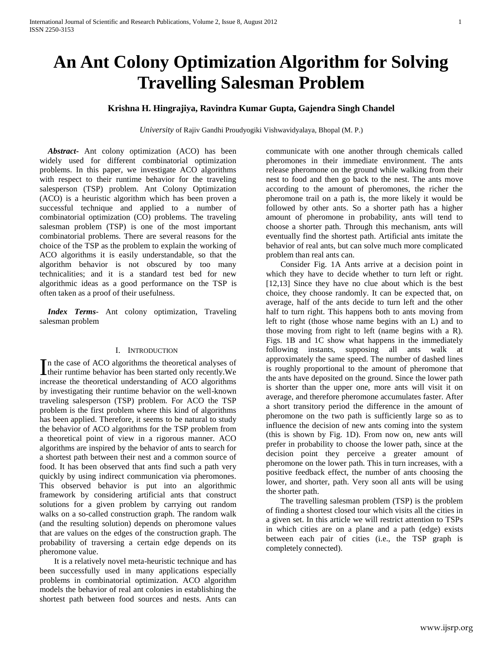# **An Ant Colony Optimization Algorithm for Solving Travelling Salesman Problem**

# **Krishna H. Hingrajiya, Ravindra Kumar Gupta, Gajendra Singh Chandel**

*University* of Rajiv Gandhi Proudyogiki Vishwavidyalaya, Bhopal (M. P.)

 *Abstract***-** Ant colony optimization (ACO) has been widely used for different combinatorial optimization problems. In this paper, we investigate ACO algorithms with respect to their runtime behavior for the traveling salesperson (TSP) problem. Ant Colony Optimization (ACO) is a heuristic algorithm which has been proven a successful technique and applied to a number of combinatorial optimization (CO) problems. The traveling salesman problem (TSP) is one of the most important combinatorial problems. There are several reasons for the choice of the TSP as the problem to explain the working of ACO algorithms it is easily understandable, so that the algorithm behavior is not obscured by too many technicalities; and it is a standard test bed for new algorithmic ideas as a good performance on the TSP is often taken as a proof of their usefulness.

 *Index Terms*- Ant colony optimization, Traveling salesman problem

# I. INTRODUCTION

In the case of ACO algorithms the theoretical analyses of their runtime behavior has been started only recently. We **I** their runtime behavior has been started only recently. We increase the theoretical understanding of ACO algorithms by investigating their runtime behavior on the well-known traveling salesperson (TSP) problem. For ACO the TSP problem is the first problem where this kind of algorithms has been applied. Therefore, it seems to be natural to study the behavior of ACO algorithms for the TSP problem from a theoretical point of view in a rigorous manner. ACO algorithms are inspired by the behavior of ants to search for a shortest path between their nest and a common source of food. It has been observed that ants find such a path very quickly by using indirect communication via pheromones. This observed behavior is put into an algorithmic framework by considering artificial ants that construct solutions for a given problem by carrying out random walks on a so-called construction graph. The random walk (and the resulting solution) depends on pheromone values that are values on the edges of the construction graph. The probability of traversing a certain edge depends on its pheromone value.

 It is a relatively novel meta-heuristic technique and has been successfully used in many applications especially problems in combinatorial optimization. ACO algorithm models the behavior of real ant colonies in establishing the shortest path between food sources and nests. Ants can communicate with one another through chemicals called pheromones in their immediate environment. The ants release pheromone on the ground while walking from their nest to food and then go back to the nest. The ants move according to the amount of pheromones, the richer the pheromone trail on a path is, the more likely it would be followed by other ants. So a shorter path has a higher amount of pheromone in probability, ants will tend to choose a shorter path. Through this mechanism, ants will eventually find the shortest path. Artificial ants imitate the behavior of real ants, but can solve much more complicated problem than real ants can.

 Consider Fig. 1A Ants arrive at a decision point in which they have to decide whether to turn left or right. [12,13] Since they have no clue about which is the best choice, they choose randomly. It can be expected that, on average, half of the ants decide to turn left and the other half to turn right. This happens both to ants moving from left to right (those whose name begins with an L) and to those moving from right to left (name begins with a R). Figs. 1B and 1C show what happens in the immediately following instants, supposing all ants walk at approximately the same speed. The number of dashed lines is roughly proportional to the amount of pheromone that the ants have deposited on the ground. Since the lower path is shorter than the upper one, more ants will visit it on average, and therefore pheromone accumulates faster. After a short transitory period the difference in the amount of pheromone on the two path is sufficiently large so as to influence the decision of new ants coming into the system (this is shown by Fig. 1D). From now on, new ants will prefer in probability to choose the lower path, since at the decision point they perceive a greater amount of pheromone on the lower path. This in turn increases, with a positive feedback effect, the number of ants choosing the lower, and shorter, path. Very soon all ants will be using the shorter path.

 The travelling salesman problem (TSP) is the problem of finding a shortest closed tour which visits all the cities in a given set. In this article we will restrict attention to TSPs in which cities are on a plane and a path (edge) exists between each pair of cities (i.e., the TSP graph is completely connected).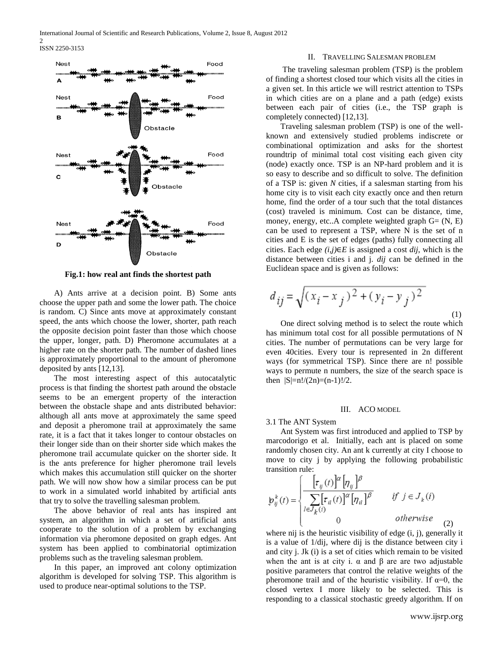2 ISSN 2250-3153



**Fig.1: how real ant finds the shortest path**

 A) Ants arrive at a decision point. B) Some ants choose the upper path and some the lower path. The choice is random. C) Since ants move at approximately constant speed, the ants which choose the lower, shorter, path reach the opposite decision point faster than those which choose the upper, longer, path. D) Pheromone accumulates at a higher rate on the shorter path. The number of dashed lines is approximately proportional to the amount of pheromone deposited by ants [12,13].

 The most interesting aspect of this autocatalytic process is that finding the shortest path around the obstacle seems to be an emergent property of the interaction between the obstacle shape and ants distributed behavior: although all ants move at approximately the same speed and deposit a pheromone trail at approximately the same rate, it is a fact that it takes longer to contour obstacles on their longer side than on their shorter side which makes the pheromone trail accumulate quicker on the shorter side. It is the ants preference for higher pheromone trail levels which makes this accumulation still quicker on the shorter path. We will now show how a similar process can be put to work in a simulated world inhabited by artificial ants that try to solve the travelling salesman problem.

 The above behavior of real ants has inspired ant system, an algorithm in which a set of artificial ants cooperate to the solution of a problem by exchanging information via pheromone deposited on graph edges. Ant system has been applied to combinatorial optimization problems such as the traveling salesman problem.

 In this paper, an improved ant colony optimization algorithm is developed for solving TSP. This algorithm is used to produce near-optimal solutions to the TSP.

### II. TRAVELLING SALESMAN PROBLEM

 The traveling salesman problem (TSP) is the problem of finding a shortest closed tour which visits all the cities in a given set. In this article we will restrict attention to TSPs in which cities are on a plane and a path (edge) exists between each pair of cities (i.e., the TSP graph is completely connected) [12,13].

 Traveling salesman problem (TSP) is one of the wellknown and extensively studied problems indiscrete or combinational optimization and asks for the shortest roundtrip of minimal total cost visiting each given city (node) exactly once. TSP is an NP-hard problem and it is so easy to describe and so difficult to solve. The definition of a TSP is: given *N* cities, if a salesman starting from his home city is to visit each city exactly once and then return home, find the order of a tour such that the total distances (cost) traveled is minimum. Cost can be distance, time, money, energy, etc..A complete weighted graph  $G = (N, E)$ can be used to represent a TSP, where N is the set of n cities and E is the set of edges (paths) fully connecting all cities. Each edge *(i,j)*∈*E* is assigned a cost *dij*, which is the distance between cities i and j. *dij* can be defined in the Euclidean space and is given as follows:

$$
d_{ij} = \sqrt{(x_i - x_j)^2 + (y_i - y_j)^2}
$$
 (1)

 One direct solving method is to select the route which has minimum total cost for all possible permutations of N cities. The number of permutations can be very large for even 40cities. Every tour is represented in 2n different ways (for symmetrical TSP). Since there are n! possible ways to permute n numbers, the size of the search space is then  $|S|=n!/(2n)=(n-1)!/2$ .

### III. ACO MODEL

#### 3.1 The ANT System

 Ant System was first introduced and applied to TSP by marcodorigo et al. Initially, each ant is placed on some randomly chosen city. An ant k currently at city I choose to move to city j by applying the following probabilistic transition rule:

$$
\psi_{ij}^{k}(t) = \begin{cases}\n\frac{\left[\tau_{ij}(t)\right]^{\alpha} \left[\eta_{ij}\right]^{\beta}}{\sum_{l \in J_{k}(i)} [\tau_{il}(t)]^{\alpha} \left[\eta_{il}\right]^{\beta}} & \text{if } j \in J_{k}(i) \\
0 & \text{otherwise}\n\end{cases}
$$
\n(2)

where nij is the heuristic visibility of edge  $(i, j)$ , generally it is a value of 1/dij, where dij is the distance between city i and city j. Jk (i) is a set of cities which remain to be visited when the ant is at city i.  $\alpha$  and  $\beta$  are are two adjustable positive parameters that control the relative weights of the pheromone trail and of the heuristic visibility. If  $\alpha=0$ , the closed vertex I more likely to be selected. This is responding to a classical stochastic greedy algorithm. If on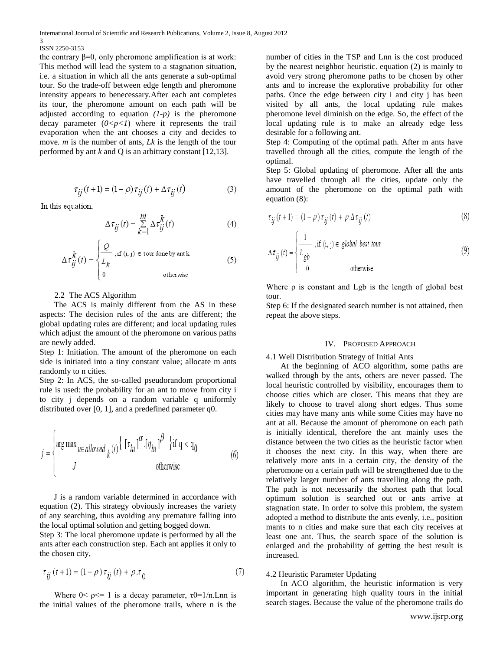#### ISSN 2250-3153

3

the contrary  $β=0$ , only pheromone amplification is at work: This method will lead the system to a stagnation situation, i.e. a situation in which all the ants generate a sub-optimal tour. So the trade-off between edge length and pheromone intensity appears to benecessary.After each ant completes its tour, the pheromone amount on each path will be adjusted according to equation  $(1-p)$  is the pheromone decay parameter  $(0 < p < 1)$  where it represents the trail evaporation when the ant chooses a city and decides to move. *m* is the number of ants, *Lk* is the length of the tour performed by ant *k* and Q is an arbitrary constant [12,13].

$$
\tau_{ij}(t+1) = (1-\rho)\tau_{ij}(t) + \Delta\tau_{ij}(t)
$$
\n(3)

In this equation,

$$
\Delta \tau_{ij}(t) = \sum_{k=1}^{m} \Delta \tau_{ij}^{k}(t)
$$
\n(4)

$$
\Delta \tau_{ij}^{k}(t) = \begin{cases} \frac{Q}{L_{k}} & \text{if (i, j) \in tour done by ant k} \\ 0 & \text{otherwise} \end{cases}
$$
 (5)

## 2.2 The ACS Algorithm

 The ACS is mainly different from the AS in these aspects: The decision rules of the ants are different; the global updating rules are different; and local updating rules which adjust the amount of the pheromone on various paths are newly added.

Step 1: Initiation. The amount of the pheromone on each side is initiated into a tiny constant value; allocate m ants randomly to n cities.

Step 2: In ACS, the so-called pseudorandom proportional rule is used: the probability for an ant to move from city i to city j depends on a random variable q uniformly distributed over [0, 1], and a predefined parameter q0.

$$
j = \begin{cases} \arg \max_{u \in allowed} \binom{n}{k} \left\{ \left[ \tau_{iu} \right]^{\alpha} \cdot \left[ \eta_{iu} \right]^{\beta} \right\} & \text{if } q < q_0 \\ J & \text{otherwise} \end{cases} \tag{6}
$$

 J is a random variable determined in accordance with equation (2). This strategy obviously increases the variety of any searching, thus avoiding any premature falling into the local optimal solution and getting bogged down.

Step 3: The local pheromone update is performed by all the ants after each construction step. Each ant applies it only to the chosen city,

$$
\tau_{ij}(t+1) = (1-\rho)\tau_{ij}(t) + \rho.\tau_0 \tag{7}
$$

Where  $0 < \rho \le 1$  is a decay parameter,  $\tau 0 = 1/n$ . Lnn is the initial values of the pheromone trails, where n is the number of cities in the TSP and Lnn is the cost produced by the nearest neighbor heuristic. equation (2) is mainly to avoid very strong pheromone paths to be chosen by other ants and to increase the explorative probability for other paths. Once the edge between city i and city j has been visited by all ants, the local updating rule makes pheromone level diminish on the edge. So, the effect of the local updating rule is to make an already edge less desirable for a following ant.

Step 4: Computing of the optimal path. After m ants have travelled through all the cities, compute the length of the optimal.

Step 5: Global updating of pheromone. After all the ants have travelled through all the cities, update only the amount of the pheromone on the optimal path with equation (8):

$$
\tau_{ij}(t+1) = (1-\rho)\tau_{ij}(t) + \rho.\Delta\tau_{ij}(t)
$$
\n
$$
\Delta\tau_{ij}(t) = \begin{cases}\n\frac{1}{L_{gb}} & \text{if } (i, j) \in global \text{ best tour} \\
0 & \text{otherwise}\n\end{cases}
$$
\n(9)

Where  $\rho$  is constant and Lgb is the length of global best tour.

Step 6: If the designated search number is not attained, then repeat the above steps.

## IV. PROPOSED APPROACH

## 4.1 Well Distribution Strategy of Initial Ants

 At the beginning of ACO algorithm, some paths are walked through by the ants, others are never passed. The local heuristic controlled by visibility, encourages them to choose cities which are closer. This means that they are likely to choose to travel along short edges. Thus some cities may have many ants while some Cities may have no ant at all. Because the amount of pheromone on each path is initially identical, therefore the ant mainly uses the distance between the two cities as the heuristic factor when it chooses the next city. In this way, when there are relatively more ants in a certain city, the density of the pheromone on a certain path will be strengthened due to the relatively larger number of ants travelling along the path. The path is not necessarily the shortest path that local optimum solution is searched out or ants arrive at stagnation state. In order to solve this problem, the system adopted a method to distribute the ants evenly, i.e., position mants to n cities and make sure that each city receives at least one ant. Thus, the search space of the solution is enlarged and the probability of getting the best result is increased.

# 4.2 Heuristic Parameter Updating

 In ACO algorithm, the heuristic information is very important in generating high quality tours in the initial search stages. Because the value of the pheromone trails do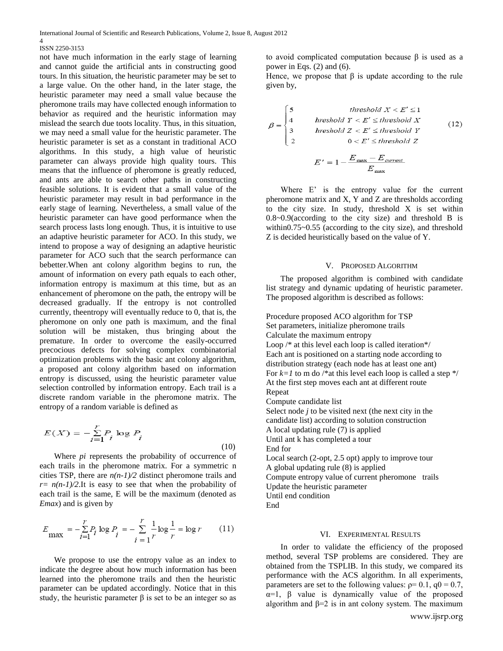International Journal of Scientific and Research Publications, Volume 2, Issue 8, August 2012

#### ISSN 2250-3153

4

not have much information in the early stage of learning and cannot guide the artificial ants in constructing good tours. In this situation, the heuristic parameter may be set to a large value. On the other hand, in the later stage, the heuristic parameter may need a small value because the pheromone trails may have collected enough information to behavior as required and the heuristic information may mislead the search due toots locality. Thus, in this situation, we may need a small value for the heuristic parameter. The heuristic parameter is set as a constant in traditional ACO algorithms. In this study, a high value of heuristic parameter can always provide high quality tours. This means that the influence of pheromone is greatly reduced, and ants are able to search other paths in constructing feasible solutions. It is evident that a small value of the heuristic parameter may result in bad performance in the early stage of learning. Nevertheless, a small value of the heuristic parameter can have good performance when the search process lasts long enough. Thus, it is intuitive to use an adaptive heuristic parameter for ACO. In this study, we intend to propose a way of designing an adaptive heuristic parameter for ACO such that the search performance can bebetter.When ant colony algorithm begins to run, the amount of information on every path equals to each other, information entropy is maximum at this time, but as an enhancement of pheromone on the path, the entropy will be decreased gradually. If the entropy is not controlled currently, theentropy will eventually reduce to 0, that is, the pheromone on only one path is maximum, and the final solution will be mistaken, thus bringing about the premature. In order to overcome the easily-occurred precocious defects for solving complex combinatorial optimization problems with the basic ant colony algorithm, a proposed ant colony algorithm based on information entropy is discussed, using the heuristic parameter value selection controlled by information entropy. Each trail is a discrete random variable in the pheromone matrix. The entropy of a random variable is defined as

$$
E(X) = -\sum_{i=1}^{r} P_i \log P_i
$$
\n(10)

Where *pi* represents the probability of occurrence of each trails in the pheromone matrix. For a symmetric n cities TSP, there are  $n(n-1)/2$  distinct pheromone trails and  $r = n(n-1)/2$ . It is easy to see that when the probability of each trail is the same, E will be the maximum (denoted as *Emax*) and is given by

$$
E_{\text{max}} = -\sum_{i=1}^{r} P_i \log P_i = -\sum_{i=1}^{r} \frac{1}{r} \log \frac{1}{r} = \log r \qquad (11)
$$

 We propose to use the entropy value as an index to indicate the degree about how much information has been learned into the pheromone trails and then the heuristic parameter can be updated accordingly. Notice that in this study, the heuristic parameter  $\beta$  is set to be an integer so as

to avoid complicated computation because β is used as a power in Eqs. (2) and (6).

Hence, we propose that  $\beta$  is update according to the rule given by,

$$
\beta = \begin{cases}\n5 & \text{threshold } X < E' \le 1 \\
4 & \text{threshold } Y < E' \le \text{threshold } X \\
3 & \text{threshold } Z < E' \le \text{threshold } Y \\
2 & \text{0} < E' \le \text{threshold } Z\n\end{cases}\n\tag{12}
$$
\n
$$
E' = 1 - \frac{E_{\text{max}} - E_{\text{current}}}{E_{\text{max}}}
$$

Where E' is the entropy value for the current pheromone matrix and X, Y and Z are thresholds according to the city size. In study, threshold X is set within 0.8~0.9(according to the city size) and threshold B is within0.75~0.55 (according to the city size), and threshold Z is decided heuristically based on the value of Y.

# V. PROPOSED ALGORITHM

 The proposed algorithm is combined with candidate list strategy and dynamic updating of heuristic parameter. The proposed algorithm is described as follows:

Procedure proposed ACO algorithm for TSP Set parameters, initialize pheromone trails Calculate the maximum entropy Loop /\* at this level each loop is called iteration\*/ Each ant is positioned on a starting node according to distribution strategy (each node has at least one ant) For  $k=1$  to m do /\*at this level each loop is called a step  $\frac{k}{l}$ At the first step moves each ant at different route Repeat Compute candidate list Select node *j* to be visited next (the next city in the candidate list) according to solution construction A local updating rule (7) is applied Until ant k has completed a tour End for Local search (2-opt, 2.5 opt) apply to improve tour A global updating rule (8) is applied Compute entropy value of current pheromone trails Update the heuristic parameter Until end condition End

# VI. EXPERIMENTAL RESULTS

 In order to validate the efficiency of the proposed method, several TSP problems are considered. They are obtained from the TSPLIB. In this study, we compared its performance with the ACS algorithm. In all experiments, parameters are set to the following values:  $\rho = 0.1$ ,  $q0 = 0.7$ ,  $\alpha=1$ ,  $\beta$  value is dynamically value of the proposed algorithm and  $\beta = 2$  is in ant colony system. The maximum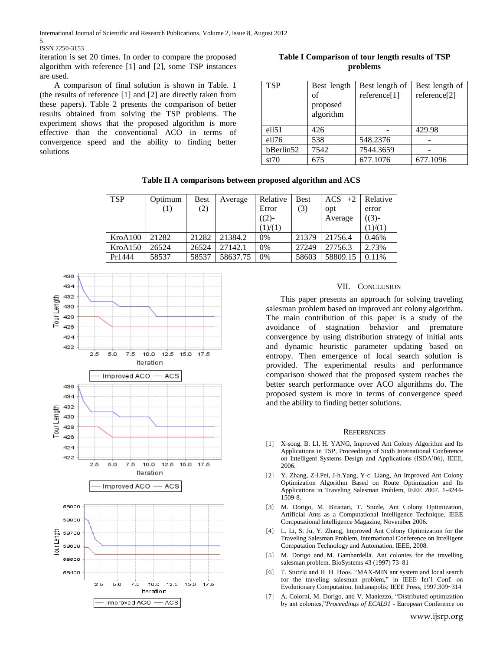International Journal of Scientific and Research Publications, Volume 2, Issue 8, August 2012

#### 5 ISSN 2250-3153

iteration is set 20 times. In order to compare the proposed algorithm with reference [1] and [2], some TSP instances are used.

 A comparison of final solution is shown in Table. 1 (the results of reference [1] and [2] are directly taken from these papers). Table 2 presents the comparison of better results obtained from solving the TSP problems. The experiment shows that the proposed algorithm is more effective than the conventional ACO in terms of convergence speed and the ability to finding better solutions

**Table I Comparison of tour length results of TSP problems**

| <b>TSP</b>  | Best length<br>of<br>proposed<br>algorithm | Best length of<br>reference[1] | Best length of<br>reference <sup>[2]</sup> |
|-------------|--------------------------------------------|--------------------------------|--------------------------------------------|
| $e$ il $51$ | 426                                        |                                | 429.98                                     |
| eil76       | 538                                        | 548.2376                       |                                            |
| bBerlin52   | 7542                                       | 7544.3659                      |                                            |
| st70        | 675                                        | 677.1076                       | 677.1096                                   |

**Table II A comparisons between proposed algorithm and ACS**

| <b>TSP</b> | Optimum          | Best  | Average  | Relative | <b>Best</b> | ACS<br>$+2$ | Relative |
|------------|------------------|-------|----------|----------|-------------|-------------|----------|
|            | $\left(1\right)$ | (2)   |          | Error    | (3)         | opt         | error    |
|            |                  |       |          | $((2)-$  |             | Average     | $((3)-$  |
|            |                  |       |          | (1)/(1)  |             |             | (1)/(1)  |
| KroA100    | 21282            | 21282 | 21384.2  | 0%       | 21379       | 21756.4     | 0.46%    |
| KroA150    | 26524            | 26524 | 27142.1  | $0\%$    | 27249       | 27756.3     | 2.73%    |
| Pr1444     | 58537            | 58537 | 58637.75 | 0%       | 58603       | 58809.15    | 0.11%    |



# VII. CONCLUSION

 This paper presents an approach for solving traveling salesman problem based on improved ant colony algorithm. The main contribution of this paper is a study of the avoidance of stagnation behavior and premature convergence by using distribution strategy of initial ants and dynamic heuristic parameter updating based on entropy. Then emergence of local search solution is provided. The experimental results and performance comparison showed that the proposed system reaches the better search performance over ACO algorithms do. The proposed system is more in terms of convergence speed and the ability to finding better solutions.

#### **REFERENCES**

- [1] X-song, B. LI, H. YANG, Improved Ant Colony Algorithm and Its Applications in TSP, Proceedings of Sixth International Conference on Intelligent Systems Design and Applications (ISDA'06), IEEE, 2006.
- [2] Y. Zhang, Z-l.Pei, J-h.Yang, Y-c. Liang, An Improved Ant Colony Optimization Algorithm Based on Route Optimization and Its Applications in Traveling Salesman Problem, IEEE 2007. 1-4244- 1509-8.
- [3] M. Dorigo, M. Birattari, T. Stuzle, Ant Colony Optimization, Artificial Ants as a Computational Intelligence Technique, IEEE Computational Intelligence Magazine, November 2006.
- [4] L. Li, S. Ju, Y. Zhang, Improved Ant Colony Optimization for the Traveling Salesman Problem, International Conference on Intelligent Computation Technology and Automation, IEEE, 2008.
- [5] M. Dorigo and M. Gambardella. Ant colonies for the travelling salesman problem. BioSystems 43 (1997) 73–81
- [6] T. Stutzle and H. H. Hoos. "MAX-MIN ant system and local search for the traveling salesman problem," in IEEE Int'l Conf. on Evolutionary Computation. Indianapolis: IEEE Press, 1997.309~314
- [7] A. Colorni, M. Dorigo, and V. Maniezzo, "Distributed optimization by ant colonies,"*Proceedings of ECAL91 -* Europea*n* Conference on